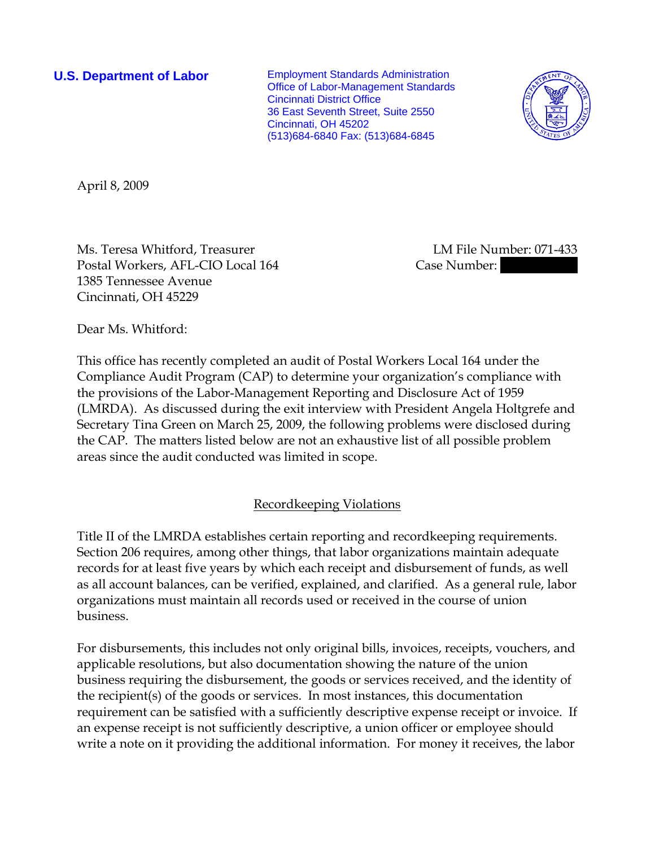**U.S. Department of Labor** Employment Standards Administration Office of Labor-Management Standards Cincinnati District Office 36 East Seventh Street, Suite 2550 Cincinnati, OH 45202 (513)684-6840 Fax: (513)684-6845



April 8, 2009

Ms. Teresa Whitford, Treasurer and the UM File Number: 071-433 Postal Workers, AFL-CIO Local 164 Case Number: 1385 Tennessee Avenue Cincinnati, OH 45229

Dear Ms. Whitford:

This office has recently completed an audit of Postal Workers Local 164 under the Compliance Audit Program (CAP) to determine your organization's compliance with the provisions of the Labor-Management Reporting and Disclosure Act of 1959 (LMRDA). As discussed during the exit interview with President Angela Holtgrefe and Secretary Tina Green on March 25, 2009, the following problems were disclosed during the CAP. The matters listed below are not an exhaustive list of all possible problem areas since the audit conducted was limited in scope.

## Recordkeeping Violations

Title II of the LMRDA establishes certain reporting and recordkeeping requirements. Section 206 requires, among other things, that labor organizations maintain adequate records for at least five years by which each receipt and disbursement of funds, as well as all account balances, can be verified, explained, and clarified. As a general rule, labor organizations must maintain all records used or received in the course of union business.

For disbursements, this includes not only original bills, invoices, receipts, vouchers, and applicable resolutions, but also documentation showing the nature of the union business requiring the disbursement, the goods or services received, and the identity of the recipient(s) of the goods or services. In most instances, this documentation requirement can be satisfied with a sufficiently descriptive expense receipt or invoice. If an expense receipt is not sufficiently descriptive, a union officer or employee should write a note on it providing the additional information. For money it receives, the labor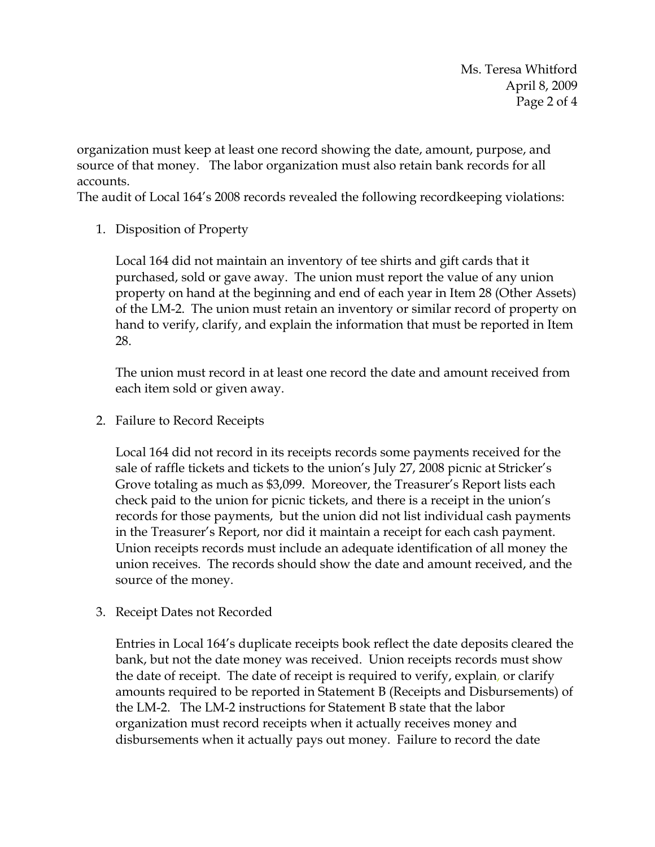Ms. Teresa Whitford April 8, 2009 Page 2 of 4

organization must keep at least one record showing the date, amount, purpose, and source of that money. The labor organization must also retain bank records for all accounts.

The audit of Local 164's 2008 records revealed the following recordkeeping violations:

1. Disposition of Property

Local 164 did not maintain an inventory of tee shirts and gift cards that it purchased, sold or gave away. The union must report the value of any union property on hand at the beginning and end of each year in Item 28 (Other Assets) of the LM-2. The union must retain an inventory or similar record of property on hand to verify, clarify, and explain the information that must be reported in Item 28.

The union must record in at least one record the date and amount received from each item sold or given away.

2. Failure to Record Receipts

Local 164 did not record in its receipts records some payments received for the sale of raffle tickets and tickets to the union's July 27, 2008 picnic at Stricker's Grove totaling as much as \$3,099. Moreover, the Treasurer's Report lists each check paid to the union for picnic tickets, and there is a receipt in the union's records for those payments, but the union did not list individual cash payments in the Treasurer's Report, nor did it maintain a receipt for each cash payment. Union receipts records must include an adequate identification of all money the union receives. The records should show the date and amount received, and the source of the money.

3. Receipt Dates not Recorded

Entries in Local 164's duplicate receipts book reflect the date deposits cleared the bank, but not the date money was received. Union receipts records must show the date of receipt. The date of receipt is required to verify, explain, or clarify amounts required to be reported in Statement B (Receipts and Disbursements) of the LM-2. The LM-2 instructions for Statement B state that the labor organization must record receipts when it actually receives money and disbursements when it actually pays out money. Failure to record the date